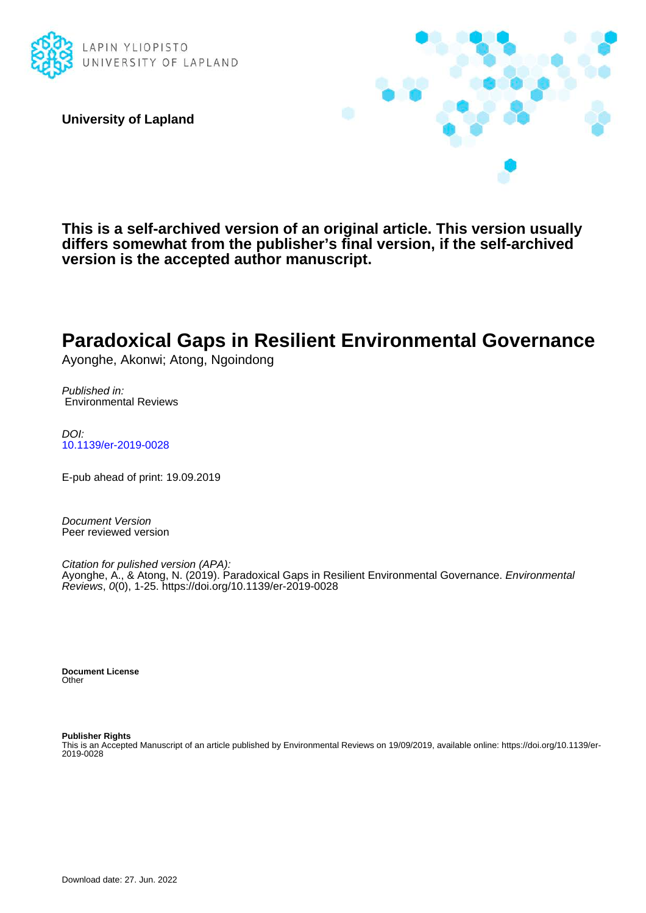

**University of Lapland**



**This is a self-archived version of an original article. This version usually differs somewhat from the publisher's final version, if the self-archived version is the accepted author manuscript.**

# **Paradoxical Gaps in Resilient Environmental Governance**

Ayonghe, Akonwi; Atong, Ngoindong

Published in: Environmental Reviews

DOI: [10.1139/er-2019-0028](https://doi.org/10.1139/er-2019-0028)

E-pub ahead of print: 19.09.2019

Document Version Peer reviewed version

Citation for pulished version (APA): Ayonghe, A., & Atong, N. (2019). Paradoxical Gaps in Resilient Environmental Governance. Environmental Reviews, 0(0), 1-25.<https://doi.org/10.1139/er-2019-0028>

**Document License Other** 

**Publisher Rights** This is an Accepted Manuscript of an article published by Environmental Reviews on 19/09/2019, available online: https://doi.org/10.1139/er-2019-0028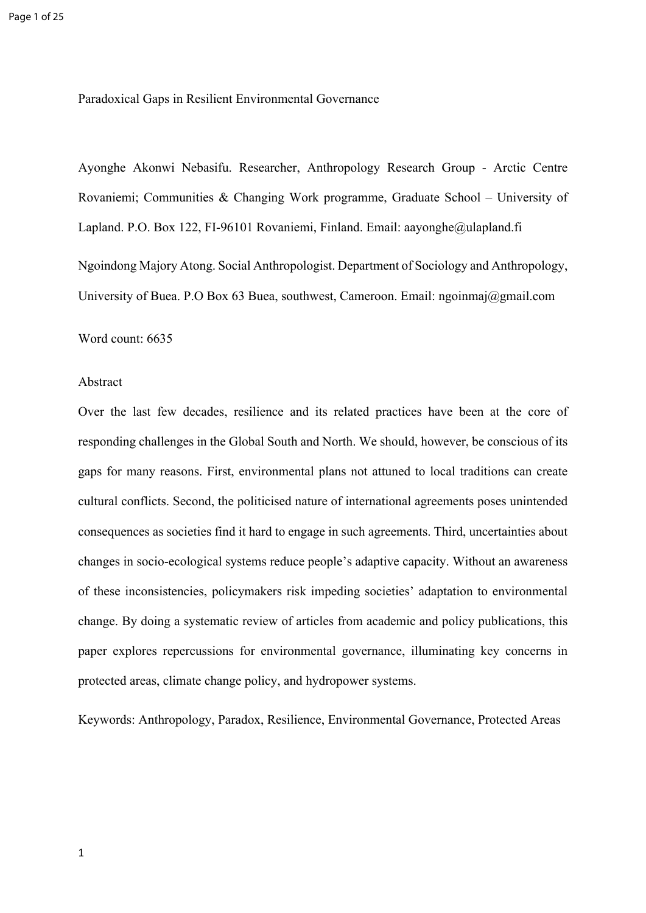Paradoxical Gaps in Resilient Environmental Governance

Ayonghe Akonwi Nebasifu. Researcher, Anthropology Research Group - Arctic Centre Rovaniemi; Communities & Changing Work programme, Graduate School – University of Lapland. P.O. Box 122, FI-96101 Rovaniemi, Finland. Email: aayonghe@ulapland.fi Ngoindong Majory Atong. Social Anthropologist. Department of Sociology and Anthropology, University of Buea. P.O Box 63 Buea, southwest, Cameroon. Email: ngoinmaj@gmail.com

Word count: 6635

## Abstract

Over the last few decades, resilience and its related practices have been at the core of responding challenges in the Global South and North. We should, however, be conscious of its gaps for many reasons. First, environmental plans not attuned to local traditions can create cultural conflicts. Second, the politicised nature of international agreements poses unintended consequences as societies find it hard to engage in such agreements. Third, uncertainties about changes in socio-ecological systems reduce people's adaptive capacity. Without an awareness of these inconsistencies, policymakers risk impeding societies' adaptation to environmental change. By doing a systematic review of articles from academic and policy publications, this paper explores repercussions for environmental governance, illuminating key concerns in protected areas, climate change policy, and hydropower systems.

Keywords: Anthropology, Paradox, Resilience, Environmental Governance, Protected Areas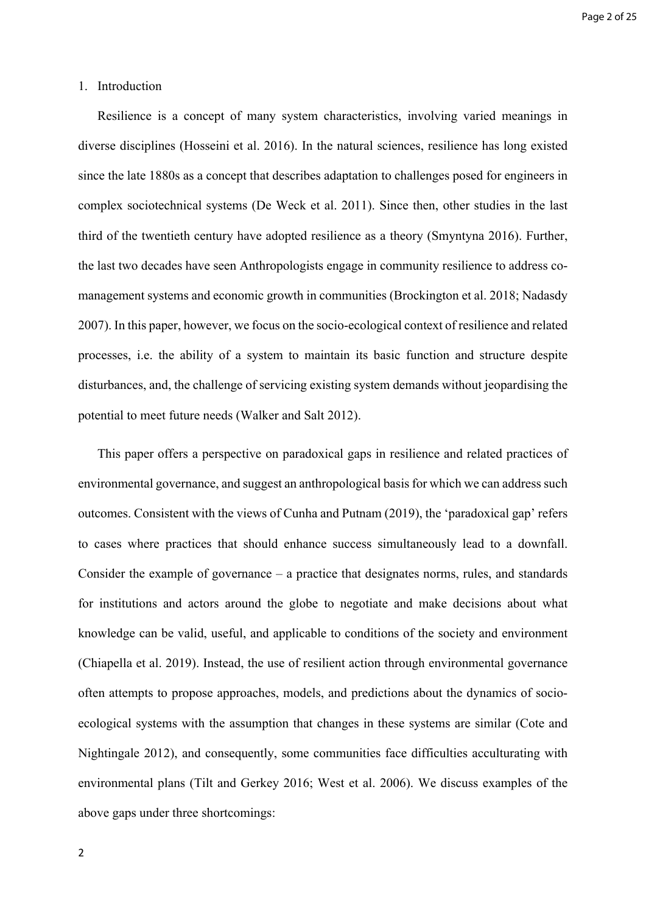## 1. Introduction

Resilience is a concept of many system characteristics, involving varied meanings in diverse disciplines (Hosseini et al. 2016). In the natural sciences, resilience has long existed since the late 1880s as a concept that describes adaptation to challenges posed for engineers in complex sociotechnical systems (De Weck et al. 2011). Since then, other studies in the last third of the twentieth century have adopted resilience as a theory (Smyntyna 2016). Further, the last two decades have seen Anthropologists engage in community resilience to address comanagement systems and economic growth in communities (Brockington et al. 2018; Nadasdy 2007). In this paper, however, we focus on the socio-ecological context of resilience and related processes, i.e. the ability of a system to maintain its basic function and structure despite disturbances, and, the challenge of servicing existing system demands without jeopardising the potential to meet future needs (Walker and Salt 2012).

This paper offers a perspective on paradoxical gaps in resilience and related practices of environmental governance, and suggest an anthropological basis for which we can address such outcomes. Consistent with the views of Cunha and Putnam (2019), the 'paradoxical gap' refers to cases where practices that should enhance success simultaneously lead to a downfall. Consider the example of governance – a practice that designates norms, rules, and standards for institutions and actors around the globe to negotiate and make decisions about what knowledge can be valid, useful, and applicable to conditions of the society and environment (Chiapella et al. 2019). Instead, the use of resilient action through environmental governance often attempts to propose approaches, models, and predictions about the dynamics of socioecological systems with the assumption that changes in these systems are similar (Cote and Nightingale 2012), and consequently, some communities face difficulties acculturating with environmental plans (Tilt and Gerkey 2016; West et al. 2006). We discuss examples of the above gaps under three shortcomings: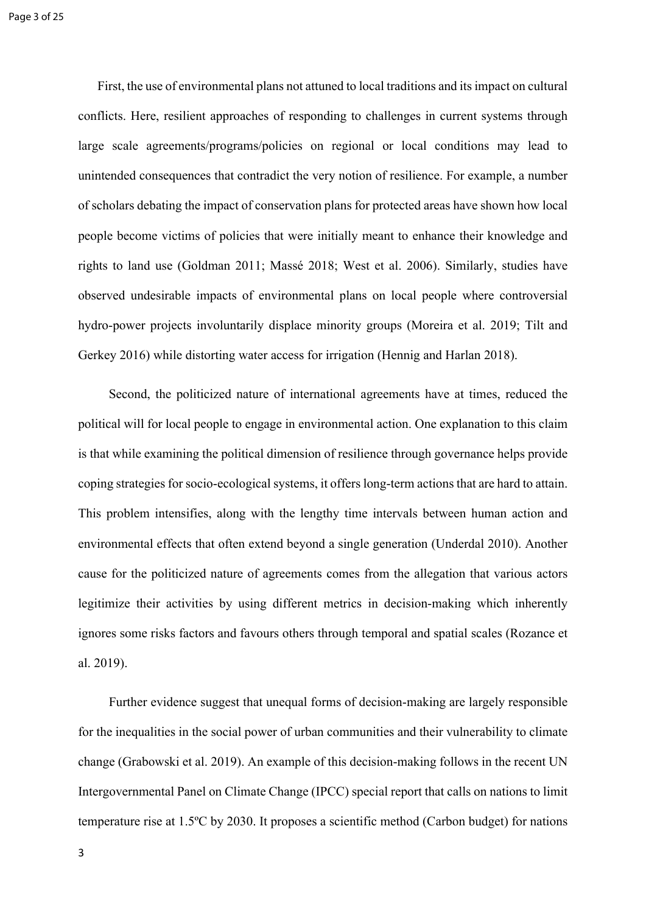First, the use of environmental plans not attuned to local traditions and its impact on cultural conflicts. Here, resilient approaches of responding to challenges in current systems through large scale agreements/programs/policies on regional or local conditions may lead to unintended consequences that contradict the very notion of resilience. For example, a number of scholars debating the impact of conservation plans for protected areas have shown how local people become victims of policies that were initially meant to enhance their knowledge and rights to land use (Goldman 2011; Massé 2018; West et al. 2006). Similarly, studies have observed undesirable impacts of environmental plans on local people where controversial hydro-power projects involuntarily displace minority groups (Moreira et al. 2019; Tilt and Gerkey 2016) while distorting water access for irrigation (Hennig and Harlan 2018).

Second, the politicized nature of international agreements have at times, reduced the political will for local people to engage in environmental action. One explanation to this claim is that while examining the political dimension of resilience through governance helps provide coping strategies for socio-ecological systems, it offers long-term actions that are hard to attain. This problem intensifies, along with the lengthy time intervals between human action and environmental effects that often extend beyond a single generation (Underdal 2010). Another cause for the politicized nature of agreements comes from the allegation that various actors legitimize their activities by using different metrics in decision-making which inherently ignores some risks factors and favours others through temporal and spatial scales (Rozance et al. 2019).

Further evidence suggest that unequal forms of decision-making are largely responsible for the inequalities in the social power of urban communities and their vulnerability to climate change (Grabowski et al. 2019). An example of this decision-making follows in the recent UN Intergovernmental Panel on Climate Change (IPCC) special report that calls on nations to limit temperature rise at 1.5ºC by 2030. It proposes a scientific method (Carbon budget) for nations

3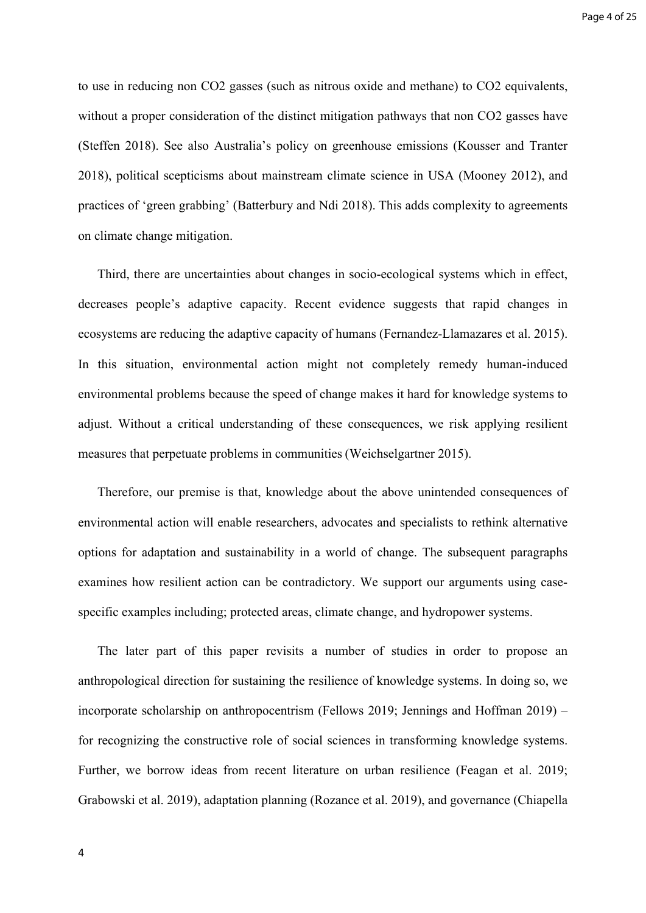to use in reducing non CO2 gasses (such as nitrous oxide and methane) to CO2 equivalents, without a proper consideration of the distinct mitigation pathways that non CO2 gasses have (Steffen 2018). See also Australia's policy on greenhouse emissions (Kousser and Tranter 2018), political scepticisms about mainstream climate science in USA (Mooney 2012), and practices of 'green grabbing' (Batterbury and Ndi 2018). This adds complexity to agreements on climate change mitigation.

Third, there are uncertainties about changes in socio-ecological systems which in effect, decreases people's adaptive capacity. Recent evidence suggests that rapid changes in ecosystems are reducing the adaptive capacity of humans (Fernandez-Llamazares et al. 2015). In this situation, environmental action might not completely remedy human-induced environmental problems because the speed of change makes it hard for knowledge systems to adjust. Without a critical understanding of these consequences, we risk applying resilient measures that perpetuate problems in communities (Weichselgartner 2015).

Therefore, our premise is that, knowledge about the above unintended consequences of environmental action will enable researchers, advocates and specialists to rethink alternative options for adaptation and sustainability in a world of change. The subsequent paragraphs examines how resilient action can be contradictory. We support our arguments using casespecific examples including; protected areas, climate change, and hydropower systems.

The later part of this paper revisits a number of studies in order to propose an anthropological direction for sustaining the resilience of knowledge systems. In doing so, we incorporate scholarship on anthropocentrism (Fellows 2019; Jennings and Hoffman 2019) – for recognizing the constructive role of social sciences in transforming knowledge systems. Further, we borrow ideas from recent literature on urban resilience (Feagan et al. 2019; Grabowski et al. 2019), adaptation planning (Rozance et al. 2019), and governance (Chiapella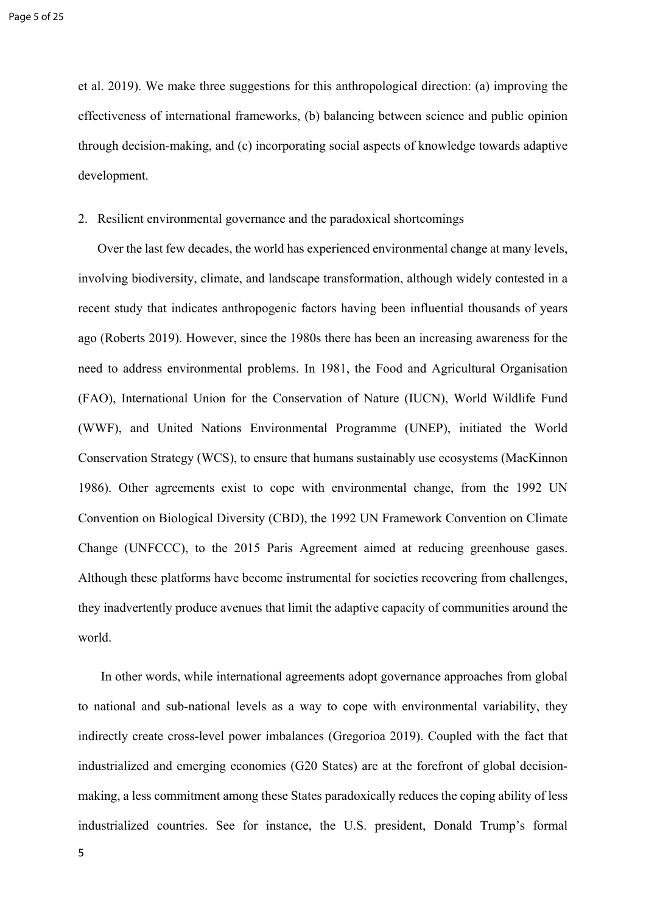et al. 2019). We make three suggestions for this anthropological direction: (a) improving the effectiveness of international frameworks, (b) balancing between science and public opinion through decision-making, and (c) incorporating social aspects of knowledge towards adaptive development.

### 2. Resilient environmental governance and the paradoxical shortcomings

Over the last few decades, the world has experienced environmental change at many levels, involving biodiversity, climate, and landscape transformation, although widely contested in a recent study that indicates anthropogenic factors having been influential thousands of years ago (Roberts 2019). However, since the 1980s there has been an increasing awareness for the need to address environmental problems. In 1981, the Food and Agricultural Organisation (FAO), International Union for the Conservation of Nature (IUCN), World Wildlife Fund (WWF), and United Nations Environmental Programme (UNEP), initiated the World Conservation Strategy (WCS), to ensure that humans sustainably use ecosystems (MacKinnon 1986). Other agreements exist to cope with environmental change, from the 1992 UN Convention on Biological Diversity (CBD), the 1992 UN Framework Convention on Climate Change (UNFCCC), to the 2015 Paris Agreement aimed at reducing greenhouse gases. Although these platforms have become instrumental for societies recovering from challenges, they inadvertently produce avenues that limit the adaptive capacity of communities around the world.

In other words, while international agreements adopt governance approaches from global to national and sub-national levels as a way to cope with environmental variability, they indirectly create cross-level power imbalances (Gregorioa 2019). Coupled with the fact that industrialized and emerging economies (G20 States) are at the forefront of global decisionmaking, a less commitment among these States paradoxically reduces the coping ability of less industrialized countries. See for instance, the U.S. president, Donald Trump's formal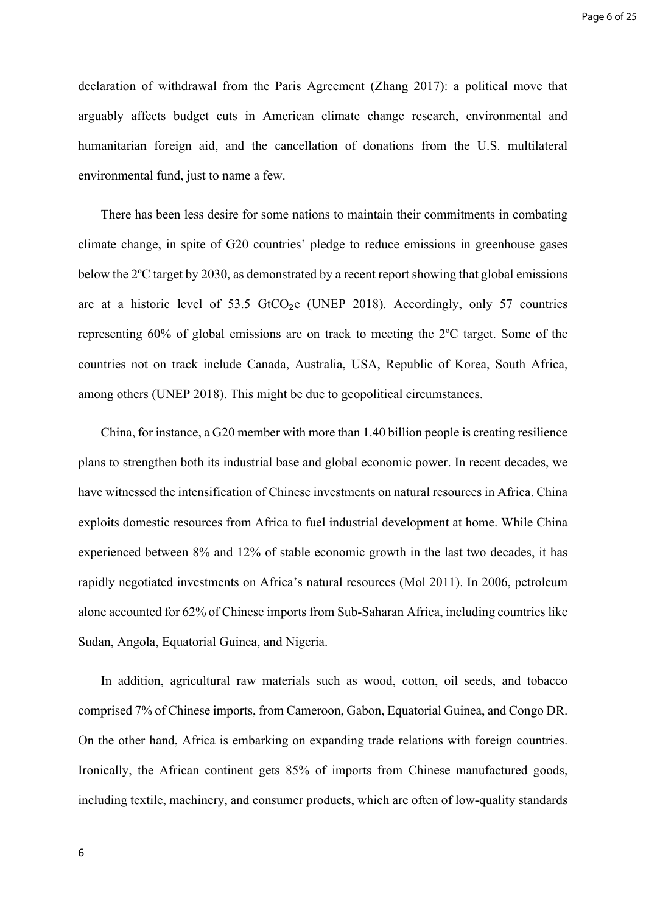declaration of withdrawal from the Paris Agreement (Zhang 2017): a political move that arguably affects budget cuts in American climate change research, environmental and humanitarian foreign aid, and the cancellation of donations from the U.S. multilateral environmental fund, just to name a few.

There has been less desire for some nations to maintain their commitments in combating climate change, in spite of G20 countries' pledge to reduce emissions in greenhouse gases below the 2ºC target by 2030, as demonstrated by a recent report showing that global emissions are at a historic level of  $53.5$  GtCO<sub>2</sub>e (UNEP 2018). Accordingly, only 57 countries representing 60% of global emissions are on track to meeting the 2ºC target. Some of the countries not on track include Canada, Australia, USA, Republic of Korea, South Africa, among others (UNEP 2018). This might be due to geopolitical circumstances.

China, for instance, a G20 member with more than 1.40 billion people is creating resilience plans to strengthen both its industrial base and global economic power. In recent decades, we have witnessed the intensification of Chinese investments on natural resources in Africa. China exploits domestic resources from Africa to fuel industrial development at home. While China experienced between 8% and 12% of stable economic growth in the last two decades, it has rapidly negotiated investments on Africa's natural resources (Mol 2011). In 2006, petroleum alone accounted for 62% of Chinese imports from Sub-Saharan Africa, including countries like Sudan, Angola, Equatorial Guinea, and Nigeria.

In addition, agricultural raw materials such as wood, cotton, oil seeds, and tobacco comprised 7% of Chinese imports, from Cameroon, Gabon, Equatorial Guinea, and Congo DR. On the other hand, Africa is embarking on expanding trade relations with foreign countries. Ironically, the African continent gets 85% of imports from Chinese manufactured goods, including textile, machinery, and consumer products, which are often of low-quality standards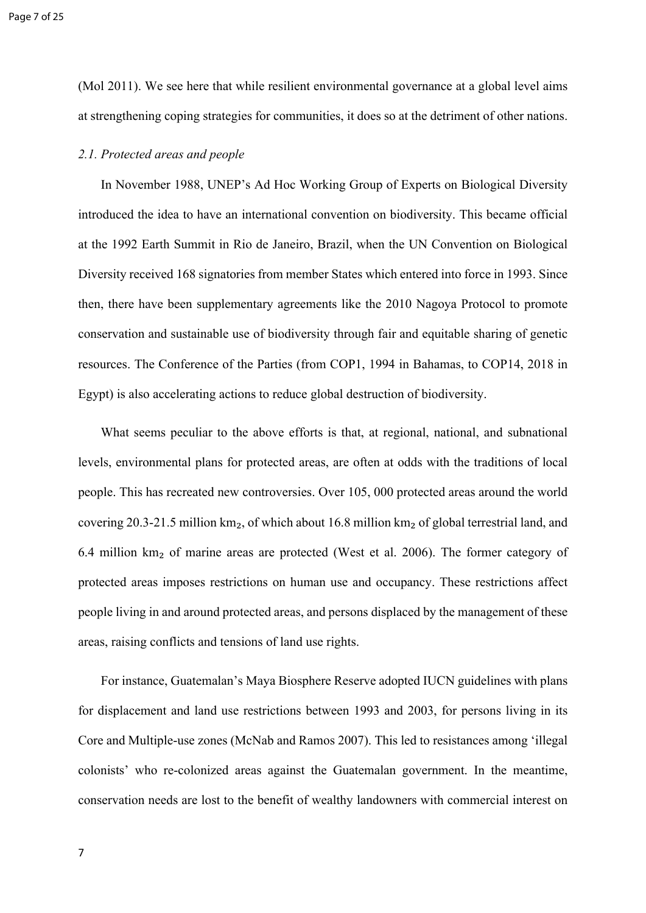(Mol 2011). We see here that while resilient environmental governance at a global level aims at strengthening coping strategies for communities, it does so at the detriment of other nations.

## *2.1. Protected areas and people*

In November 1988, UNEP's Ad Hoc Working Group of Experts on Biological Diversity introduced the idea to have an international convention on biodiversity. This became official at the 1992 Earth Summit in Rio de Janeiro, Brazil, when the UN Convention on Biological Diversity received 168 signatories from member States which entered into force in 1993. Since then, there have been supplementary agreements like the 2010 Nagoya Protocol to promote conservation and sustainable use of biodiversity through fair and equitable sharing of genetic resources. The Conference of the Parties (from COP1, 1994 in Bahamas, to COP14, 2018 in Egypt) is also accelerating actions to reduce global destruction of biodiversity.

What seems peculiar to the above efforts is that, at regional, national, and subnational levels, environmental plans for protected areas, are often at odds with the traditions of local people. This has recreated new controversies. Over 105, 000 protected areas around the world covering 20.3-21.5 million  $km_2$ , of which about 16.8 million  $km_2$  of global terrestrial land, and 6.4 million km₂ of marine areas are protected (West et al. 2006). The former category of protected areas imposes restrictions on human use and occupancy. These restrictions affect people living in and around protected areas, and persons displaced by the management of these areas, raising conflicts and tensions of land use rights.

For instance, Guatemalan's Maya Biosphere Reserve adopted IUCN guidelines with plans for displacement and land use restrictions between 1993 and 2003, for persons living in its Core and Multiple-use zones (McNab and Ramos 2007). This led to resistances among 'illegal colonists' who re-colonized areas against the Guatemalan government. In the meantime, conservation needs are lost to the benefit of wealthy landowners with commercial interest on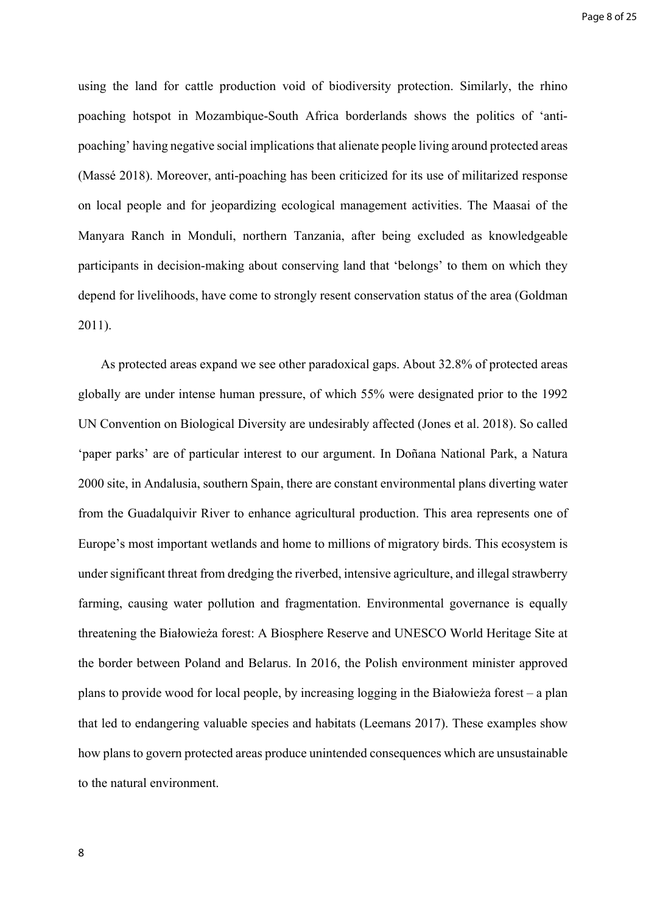using the land for cattle production void of biodiversity protection. Similarly, the rhino poaching hotspot in Mozambique-South Africa borderlands shows the politics of 'antipoaching' having negative social implications that alienate people living around protected areas (Massé 2018). Moreover, anti-poaching has been criticized for its use of militarized response on local people and for jeopardizing ecological management activities. The Maasai of the Manyara Ranch in Monduli, northern Tanzania, after being excluded as knowledgeable participants in decision-making about conserving land that 'belongs' to them on which they depend for livelihoods, have come to strongly resent conservation status of the area (Goldman 2011).

As protected areas expand we see other paradoxical gaps. About 32.8% of protected areas globally are under intense human pressure, of which 55% were designated prior to the 1992 UN Convention on Biological Diversity are undesirably affected (Jones et al. 2018). So called 'paper parks' are of particular interest to our argument. In Doñana National Park, a Natura 2000 site, in Andalusia, southern Spain, there are constant environmental plans diverting water from the Guadalquivir River to enhance agricultural production. This area represents one of Europe's most important wetlands and home to millions of migratory birds. This ecosystem is under significant threat from dredging the riverbed, intensive agriculture, and illegal strawberry farming, causing water pollution and fragmentation. Environmental governance is equally threatening the Białowieża forest: A Biosphere Reserve and UNESCO World Heritage Site at the border between Poland and Belarus. In 2016, the Polish environment minister approved plans to provide wood for local people, by increasing logging in the Białowieża forest – a plan that led to endangering valuable species and habitats (Leemans 2017). These examples show how plans to govern protected areas produce unintended consequences which are unsustainable to the natural environment.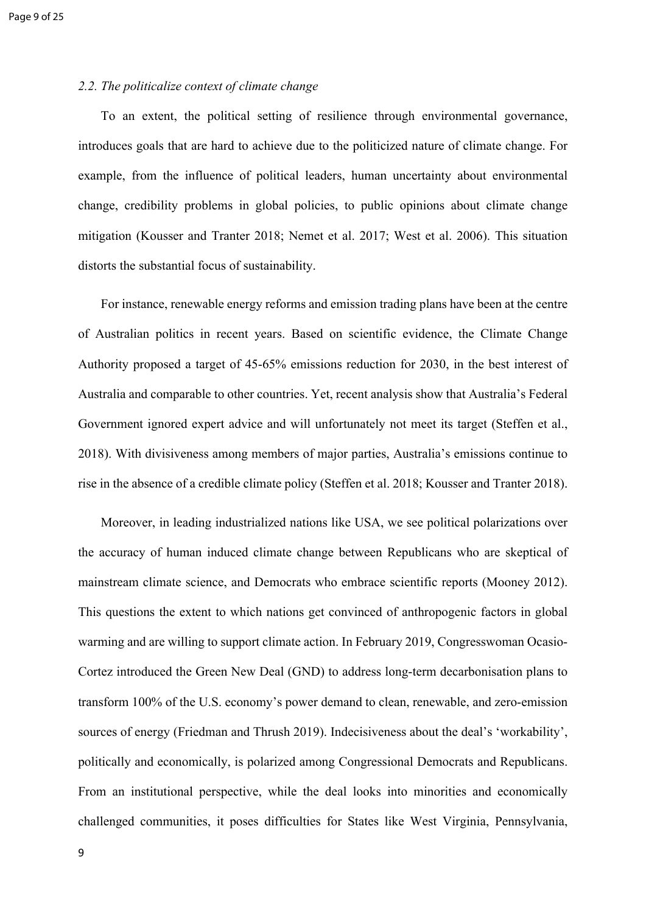# *2.2. The politicalize context of climate change*

To an extent, the political setting of resilience through environmental governance, introduces goals that are hard to achieve due to the politicized nature of climate change. For example, from the influence of political leaders, human uncertainty about environmental change, credibility problems in global policies, to public opinions about climate change mitigation (Kousser and Tranter 2018; Nemet et al. 2017; West et al. 2006). This situation distorts the substantial focus of sustainability.

For instance, renewable energy reforms and emission trading plans have been at the centre of Australian politics in recent years. Based on scientific evidence, the Climate Change Authority proposed a target of 45-65% emissions reduction for 2030, in the best interest of Australia and comparable to other countries. Yet, recent analysis show that Australia's Federal Government ignored expert advice and will unfortunately not meet its target (Steffen et al., 2018). With divisiveness among members of major parties, Australia's emissions continue to rise in the absence of a credible climate policy (Steffen et al. 2018; Kousser and Tranter 2018).

Moreover, in leading industrialized nations like USA, we see political polarizations over the accuracy of human induced climate change between Republicans who are skeptical of mainstream climate science, and Democrats who embrace scientific reports (Mooney 2012). This questions the extent to which nations get convinced of anthropogenic factors in global warming and are willing to support climate action. In February 2019, Congresswoman Ocasio-Cortez introduced the Green New Deal (GND) to address long-term decarbonisation plans to transform 100% of the U.S. economy's power demand to clean, renewable, and zero-emission sources of energy (Friedman and Thrush 2019). Indecisiveness about the deal's 'workability', politically and economically, is polarized among Congressional Democrats and Republicans. From an institutional perspective, while the deal looks into minorities and economically challenged communities, it poses difficulties for States like West Virginia, Pennsylvania,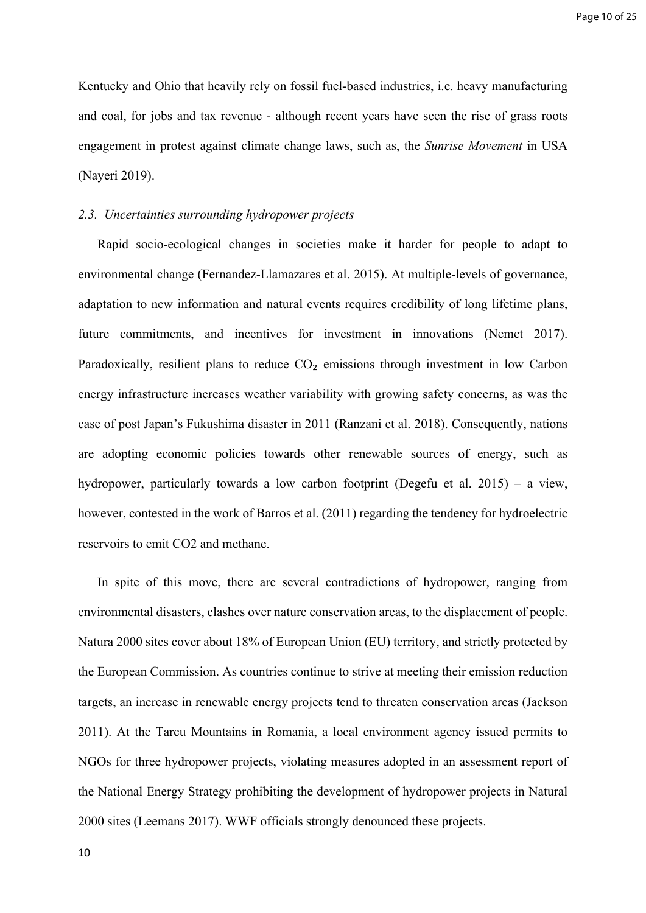Kentucky and Ohio that heavily rely on fossil fuel-based industries, i.e. heavy manufacturing and coal, for jobs and tax revenue - although recent years have seen the rise of grass roots engagement in protest against climate change laws, such as, the *Sunrise Movement* in USA (Nayeri 2019).

### *2.3. Uncertainties surrounding hydropower projects*

Rapid socio-ecological changes in societies make it harder for people to adapt to environmental change (Fernandez-Llamazares et al. 2015). At multiple-levels of governance, adaptation to new information and natural events requires credibility of long lifetime plans, future commitments, and incentives for investment in innovations (Nemet 2017). Paradoxically, resilient plans to reduce  $CO<sub>2</sub>$  emissions through investment in low Carbon energy infrastructure increases weather variability with growing safety concerns, as was the case of post Japan's Fukushima disaster in 2011 (Ranzani et al. 2018). Consequently, nations are adopting economic policies towards other renewable sources of energy, such as hydropower, particularly towards a low carbon footprint (Degefu et al. 2015) – a view, however, contested in the work of Barros et al. (2011) regarding the tendency for hydroelectric reservoirs to emit CO2 and methane.

In spite of this move, there are several contradictions of hydropower, ranging from environmental disasters, clashes over nature conservation areas, to the displacement of people. Natura 2000 sites cover about 18% of European Union (EU) territory, and strictly protected by the European Commission. As countries continue to strive at meeting their emission reduction targets, an increase in renewable energy projects tend to threaten conservation areas (Jackson 2011). At the Tarcu Mountains in Romania, a local environment agency issued permits to NGOs for three hydropower projects, violating measures adopted in an assessment report of the National Energy Strategy prohibiting the development of hydropower projects in Natural 2000 sites (Leemans 2017). WWF officials strongly denounced these projects.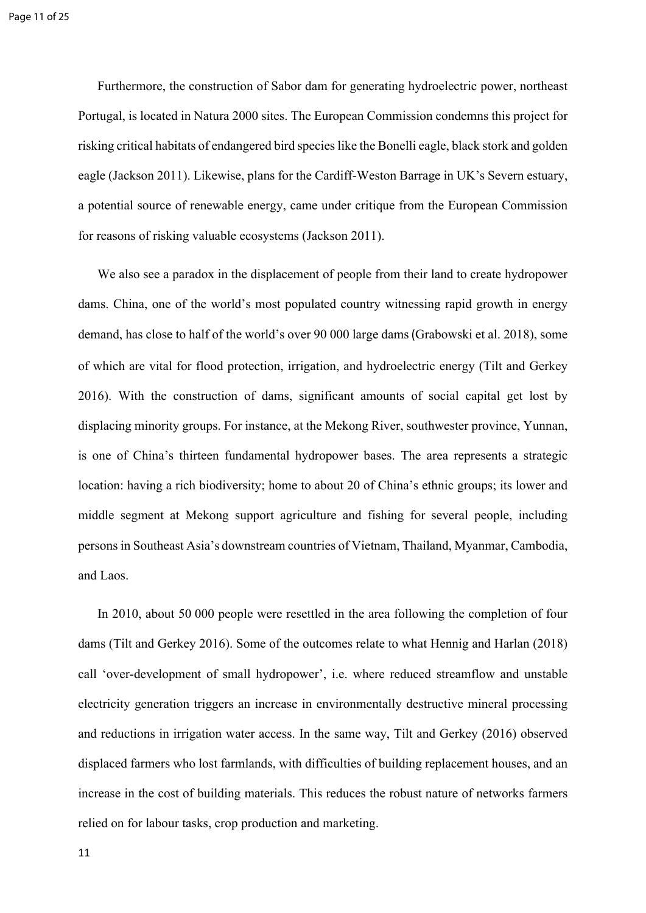Furthermore, the construction of Sabor dam for generating hydroelectric power, northeast Portugal, is located in Natura 2000 sites. The European Commission condemns this project for risking critical habitats of endangered bird species like the Bonelli eagle, black stork and golden eagle (Jackson 2011). Likewise, plans for the Cardiff-Weston Barrage in UK's Severn estuary, a potential source of renewable energy, came under critique from the European Commission for reasons of risking valuable ecosystems (Jackson 2011).

We also see a paradox in the displacement of people from their land to create hydropower dams. China, one of the world's most populated country witnessing rapid growth in energy demand, has close to half of the world's over 90 000 large dams(Grabowski et al. 2018), some of which are vital for flood protection, irrigation, and hydroelectric energy (Tilt and Gerkey 2016). With the construction of dams, significant amounts of social capital get lost by displacing minority groups. For instance, at the Mekong River, southwester province, Yunnan, is one of China's thirteen fundamental hydropower bases. The area represents a strategic location: having a rich biodiversity; home to about 20 of China's ethnic groups; its lower and middle segment at Mekong support agriculture and fishing for several people, including persons in Southeast Asia's downstream countries of Vietnam, Thailand, Myanmar, Cambodia, and Laos.

In 2010, about 50 000 people were resettled in the area following the completion of four dams (Tilt and Gerkey 2016). Some of the outcomes relate to what Hennig and Harlan (2018) call 'over-development of small hydropower', i.e. where reduced streamflow and unstable electricity generation triggers an increase in environmentally destructive mineral processing and reductions in irrigation water access. In the same way, Tilt and Gerkey (2016) observed displaced farmers who lost farmlands, with difficulties of building replacement houses, and an increase in the cost of building materials. This reduces the robust nature of networks farmers relied on for labour tasks, crop production and marketing.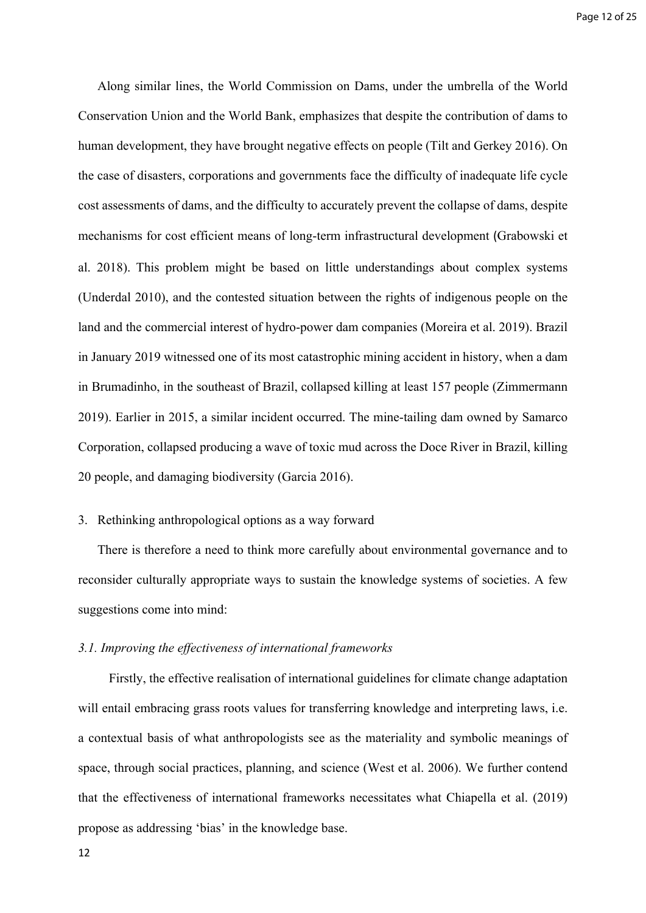Along similar lines, the World Commission on Dams, under the umbrella of the World Conservation Union and the World Bank, emphasizes that despite the contribution of dams to human development, they have brought negative effects on people (Tilt and Gerkey 2016). On the case of disasters, corporations and governments face the difficulty of inadequate life cycle cost assessments of dams, and the difficulty to accurately prevent the collapse of dams, despite mechanisms for cost efficient means of long-term infrastructural development (Grabowski et al. 2018). This problem might be based on little understandings about complex systems (Underdal 2010), and the contested situation between the rights of indigenous people on the land and the commercial interest of hydro-power dam companies (Moreira et al. 2019). Brazil in January 2019 witnessed one of its most catastrophic mining accident in history, when a dam in Brumadinho, in the southeast of Brazil, collapsed killing at least 157 people (Zimmermann 2019). Earlier in 2015, a similar incident occurred. The mine-tailing dam owned by Samarco Corporation, collapsed producing a wave of toxic mud across the Doce River in Brazil, killing 20 people, and damaging biodiversity (Garcia 2016).

# 3. Rethinking anthropological options as a way forward

There is therefore a need to think more carefully about environmental governance and to reconsider culturally appropriate ways to sustain the knowledge systems of societies. A few suggestions come into mind:

### *3.1. Improving the effectiveness of international frameworks*

Firstly, the effective realisation of international guidelines for climate change adaptation will entail embracing grass roots values for transferring knowledge and interpreting laws, i.e. a contextual basis of what anthropologists see as the materiality and symbolic meanings of space, through social practices, planning, and science (West et al. 2006). We further contend that the effectiveness of international frameworks necessitates what Chiapella et al. (2019) propose as addressing 'bias' in the knowledge base.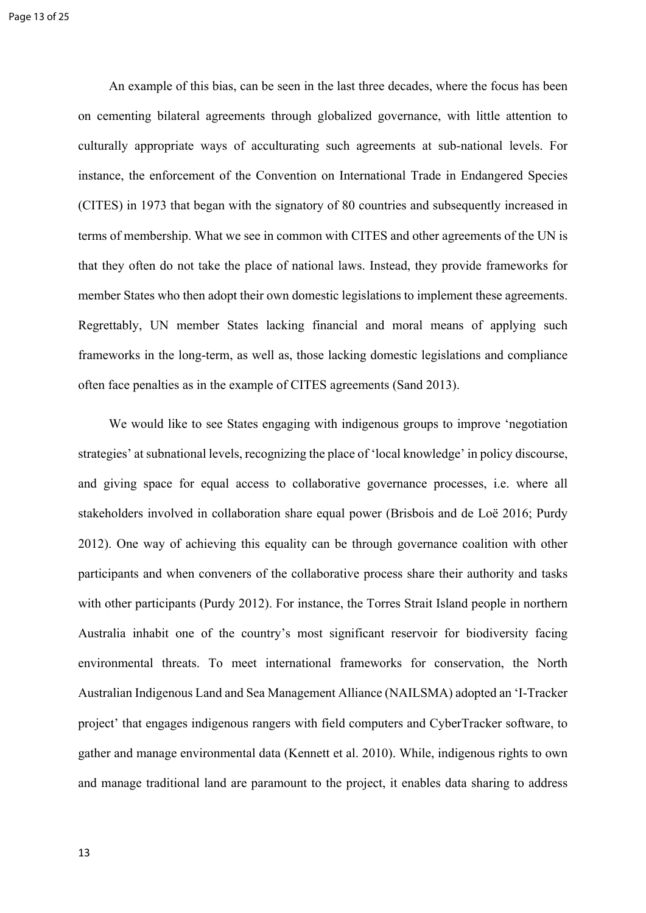An example of this bias, can be seen in the last three decades, where the focus has been on cementing bilateral agreements through globalized governance, with little attention to culturally appropriate ways of acculturating such agreements at sub-national levels. For instance, the enforcement of the Convention on International Trade in Endangered Species (CITES) in 1973 that began with the signatory of 80 countries and subsequently increased in terms of membership. What we see in common with CITES and other agreements of the UN is that they often do not take the place of national laws. Instead, they provide frameworks for member States who then adopt their own domestic legislations to implement these agreements. Regrettably, UN member States lacking financial and moral means of applying such frameworks in the long-term, as well as, those lacking domestic legislations and compliance often face penalties as in the example of CITES agreements (Sand 2013).

We would like to see States engaging with indigenous groups to improve 'negotiation strategies' at subnational levels, recognizing the place of 'local knowledge' in policy discourse, and giving space for equal access to collaborative governance processes, i.e. where all stakeholders involved in collaboration share equal power (Brisbois and de Loë 2016; Purdy 2012). One way of achieving this equality can be through governance coalition with other participants and when conveners of the collaborative process share their authority and tasks with other participants (Purdy 2012). For instance, the Torres Strait Island people in northern Australia inhabit one of the country's most significant reservoir for biodiversity facing environmental threats. To meet international frameworks for conservation, the North Australian Indigenous Land and Sea Management Alliance (NAILSMA) adopted an 'I-Tracker project' that engages indigenous rangers with field computers and CyberTracker software, to gather and manage environmental data (Kennett et al. 2010). While, indigenous rights to own and manage traditional land are paramount to the project, it enables data sharing to address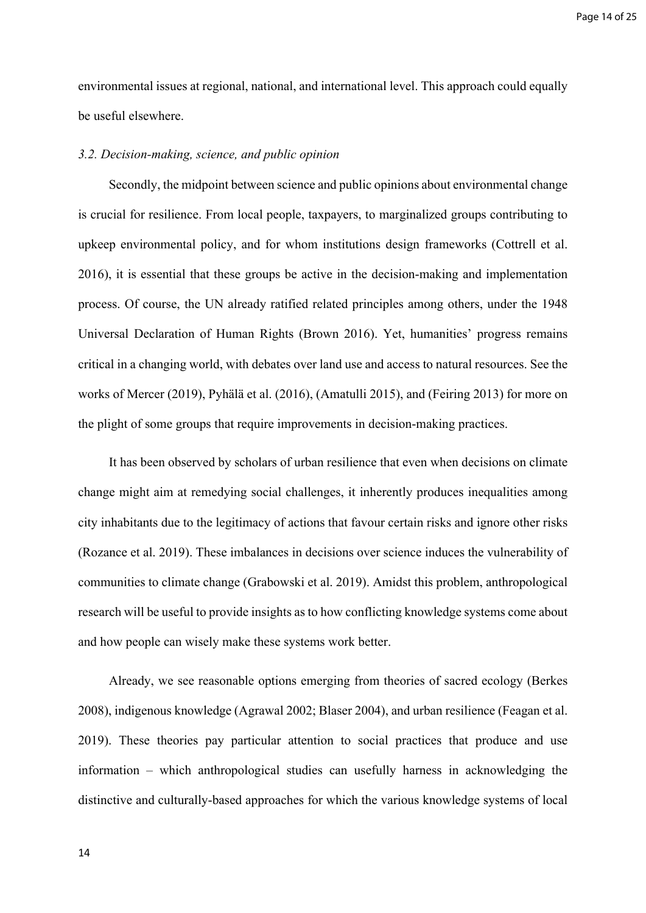Page 14 of 25

environmental issues at regional, national, and international level. This approach could equally be useful elsewhere.

# *3.2. Decision-making, science, and public opinion*

Secondly, the midpoint between science and public opinions about environmental change is crucial for resilience. From local people, taxpayers, to marginalized groups contributing to upkeep environmental policy, and for whom institutions design frameworks (Cottrell et al. 2016), it is essential that these groups be active in the decision-making and implementation process. Of course, the UN already ratified related principles among others, under the 1948 Universal Declaration of Human Rights (Brown 2016). Yet, humanities' progress remains critical in a changing world, with debates over land use and access to natural resources. See the works of Mercer (2019), Pyhälä et al. (2016), (Amatulli 2015), and (Feiring 2013) for more on the plight of some groups that require improvements in decision-making practices.

It has been observed by scholars of urban resilience that even when decisions on climate change might aim at remedying social challenges, it inherently produces inequalities among city inhabitants due to the legitimacy of actions that favour certain risks and ignore other risks (Rozance et al. 2019). These imbalances in decisions over science induces the vulnerability of communities to climate change (Grabowski et al. 2019). Amidst this problem, anthropological research will be useful to provide insights as to how conflicting knowledge systems come about and how people can wisely make these systems work better.

Already, we see reasonable options emerging from theories of sacred ecology (Berkes 2008), indigenous knowledge (Agrawal 2002; Blaser 2004), and urban resilience (Feagan et al. 2019). These theories pay particular attention to social practices that produce and use information – which anthropological studies can usefully harness in acknowledging the distinctive and culturally-based approaches for which the various knowledge systems of local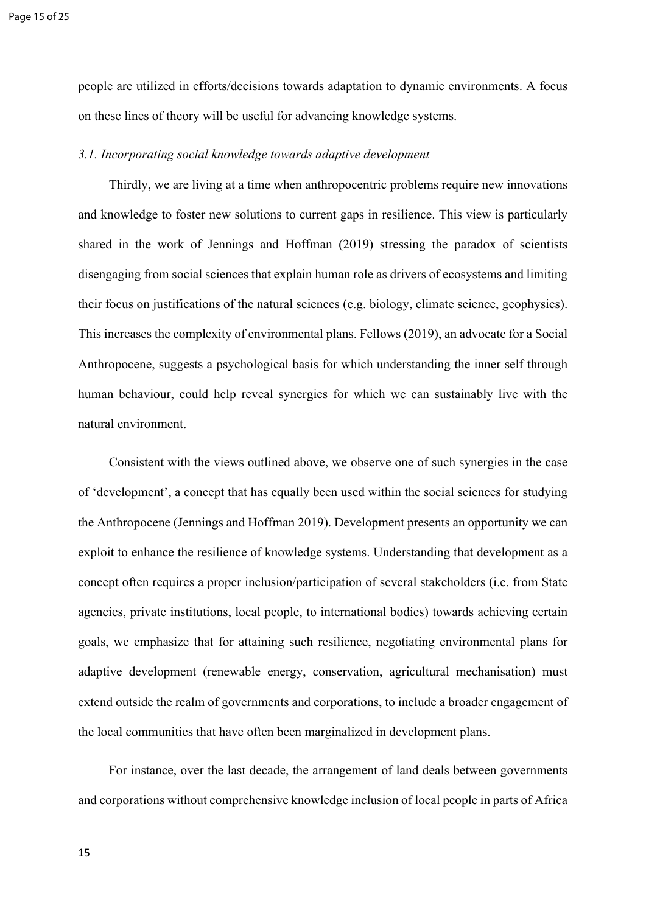people are utilized in efforts/decisions towards adaptation to dynamic environments. A focus on these lines of theory will be useful for advancing knowledge systems.

## *3.1. Incorporating social knowledge towards adaptive development*

Thirdly, we are living at a time when anthropocentric problems require new innovations and knowledge to foster new solutions to current gaps in resilience. This view is particularly shared in the work of Jennings and Hoffman (2019) stressing the paradox of scientists disengaging from social sciences that explain human role as drivers of ecosystems and limiting their focus on justifications of the natural sciences (e.g. biology, climate science, geophysics). This increases the complexity of environmental plans. Fellows (2019), an advocate for a Social Anthropocene, suggests a psychological basis for which understanding the inner self through human behaviour, could help reveal synergies for which we can sustainably live with the natural environment.

Consistent with the views outlined above, we observe one of such synergies in the case of 'development', a concept that has equally been used within the social sciences for studying the Anthropocene (Jennings and Hoffman 2019). Development presents an opportunity we can exploit to enhance the resilience of knowledge systems. Understanding that development as a concept often requires a proper inclusion/participation of several stakeholders (i.e. from State agencies, private institutions, local people, to international bodies) towards achieving certain goals, we emphasize that for attaining such resilience, negotiating environmental plans for adaptive development (renewable energy, conservation, agricultural mechanisation) must extend outside the realm of governments and corporations, to include a broader engagement of the local communities that have often been marginalized in development plans.

For instance, over the last decade, the arrangement of land deals between governments and corporations without comprehensive knowledge inclusion of local people in parts of Africa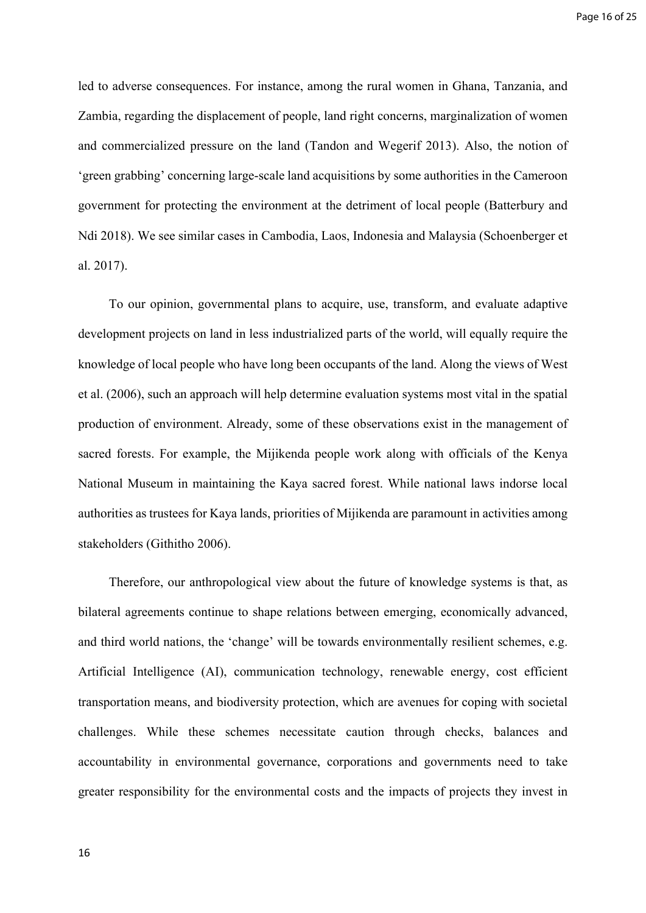led to adverse consequences. For instance, among the rural women in Ghana, Tanzania, and Zambia, regarding the displacement of people, land right concerns, marginalization of women and commercialized pressure on the land (Tandon and Wegerif 2013). Also, the notion of 'green grabbing' concerning large-scale land acquisitions by some authorities in the Cameroon government for protecting the environment at the detriment of local people (Batterbury and Ndi 2018). We see similar cases in Cambodia, Laos, Indonesia and Malaysia (Schoenberger et al. 2017).

To our opinion, governmental plans to acquire, use, transform, and evaluate adaptive development projects on land in less industrialized parts of the world, will equally require the knowledge of local people who have long been occupants of the land. Along the views of West et al. (2006), such an approach will help determine evaluation systems most vital in the spatial production of environment. Already, some of these observations exist in the management of sacred forests. For example, the Mijikenda people work along with officials of the Kenya National Museum in maintaining the Kaya sacred forest. While national laws indorse local authorities as trustees for Kaya lands, priorities of Mijikenda are paramount in activities among stakeholders (Githitho 2006).

Therefore, our anthropological view about the future of knowledge systems is that, as bilateral agreements continue to shape relations between emerging, economically advanced, and third world nations, the 'change' will be towards environmentally resilient schemes, e.g. Artificial Intelligence (AI), communication technology, renewable energy, cost efficient transportation means, and biodiversity protection, which are avenues for coping with societal challenges. While these schemes necessitate caution through checks, balances and accountability in environmental governance, corporations and governments need to take greater responsibility for the environmental costs and the impacts of projects they invest in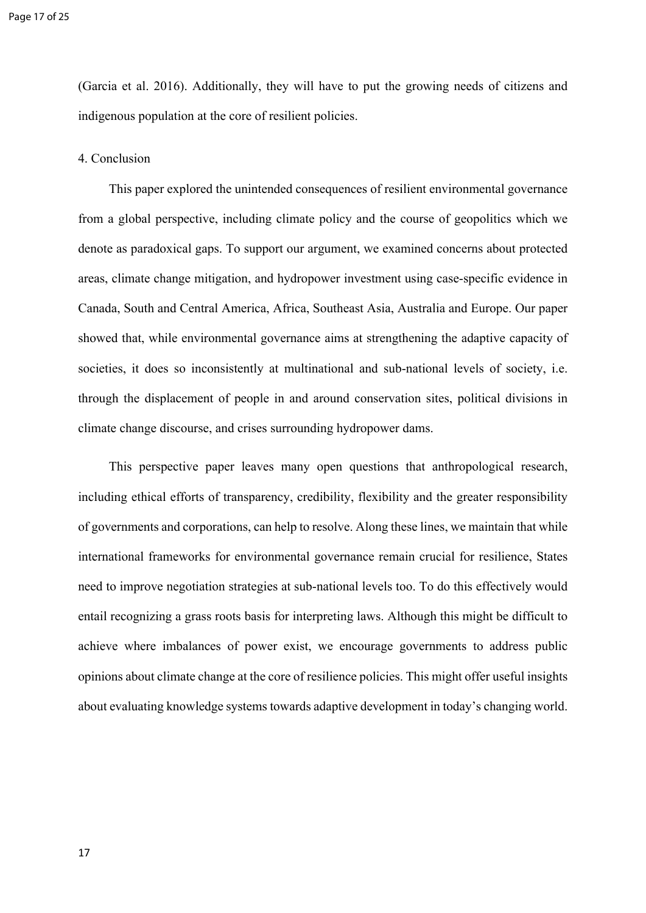(Garcia et al. 2016). Additionally, they will have to put the growing needs of citizens and indigenous population at the core of resilient policies.

4. Conclusion

This paper explored the unintended consequences of resilient environmental governance from a global perspective, including climate policy and the course of geopolitics which we denote as paradoxical gaps. To support our argument, we examined concerns about protected areas, climate change mitigation, and hydropower investment using case-specific evidence in Canada, South and Central America, Africa, Southeast Asia, Australia and Europe. Our paper showed that, while environmental governance aims at strengthening the adaptive capacity of societies, it does so inconsistently at multinational and sub-national levels of society, i.e. through the displacement of people in and around conservation sites, political divisions in climate change discourse, and crises surrounding hydropower dams.

This perspective paper leaves many open questions that anthropological research, including ethical efforts of transparency, credibility, flexibility and the greater responsibility of governments and corporations, can help to resolve. Along these lines, we maintain that while international frameworks for environmental governance remain crucial for resilience, States need to improve negotiation strategies at sub-national levels too. To do this effectively would entail recognizing a grass roots basis for interpreting laws. Although this might be difficult to achieve where imbalances of power exist, we encourage governments to address public opinions about climate change at the core of resilience policies. This might offer useful insights about evaluating knowledge systems towards adaptive development in today's changing world.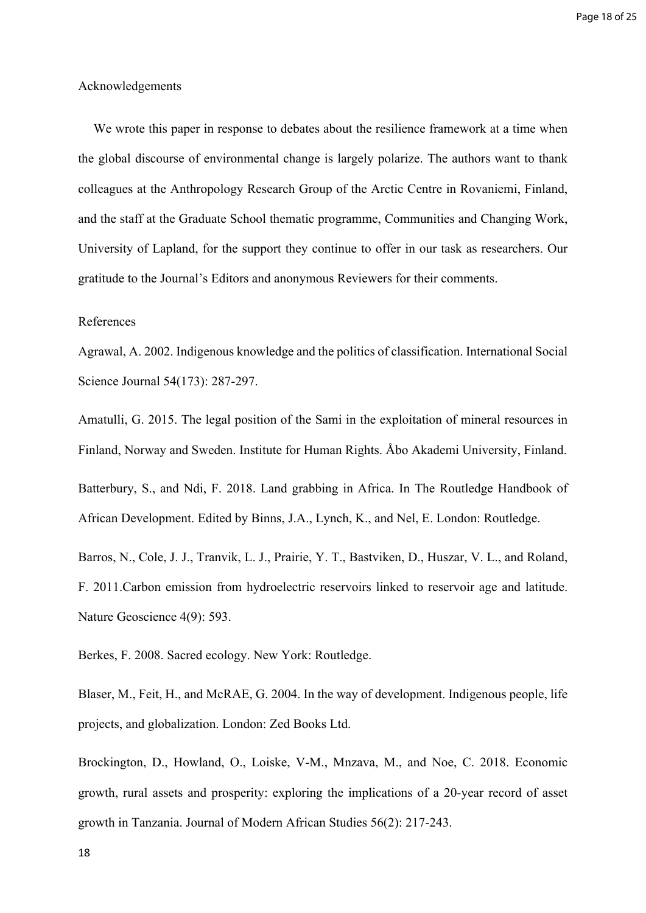## Acknowledgements

We wrote this paper in response to debates about the resilience framework at a time when the global discourse of environmental change is largely polarize. The authors want to thank colleagues at the Anthropology Research Group of the Arctic Centre in Rovaniemi, Finland, and the staff at the Graduate School thematic programme, Communities and Changing Work, University of Lapland, for the support they continue to offer in our task as researchers. Our gratitude to the Journal's Editors and anonymous Reviewers for their comments.

## References

Agrawal, A. 2002. Indigenous knowledge and the politics of classification. International Social Science Journal 54(173): 287-297.

Amatulli, G. 2015. The legal position of the Sami in the exploitation of mineral resources in Finland, Norway and Sweden. Institute for Human Rights. Åbo Akademi University, Finland. Batterbury, S., and Ndi, F. 2018. Land grabbing in Africa. In The Routledge Handbook of African Development. Edited by Binns, J.A., Lynch, K., and Nel, E. London: Routledge.

Barros, N., Cole, J. J., Tranvik, L. J., Prairie, Y. T., Bastviken, D., Huszar, V. L., and Roland, F. 2011.Carbon emission from hydroelectric reservoirs linked to reservoir age and latitude. Nature Geoscience 4(9): 593.

Berkes, F. 2008. Sacred ecology. New York: Routledge.

Blaser, M., Feit, H., and McRAE, G. 2004. In the way of development. Indigenous people, life projects, and globalization. London: Zed Books Ltd.

Brockington, D., Howland, O., Loiske, V-M., Mnzava, M., and Noe, C. 2018. Economic growth, rural assets and prosperity: exploring the implications of a 20-year record of asset growth in Tanzania. Journal of Modern African Studies 56(2): 217-243.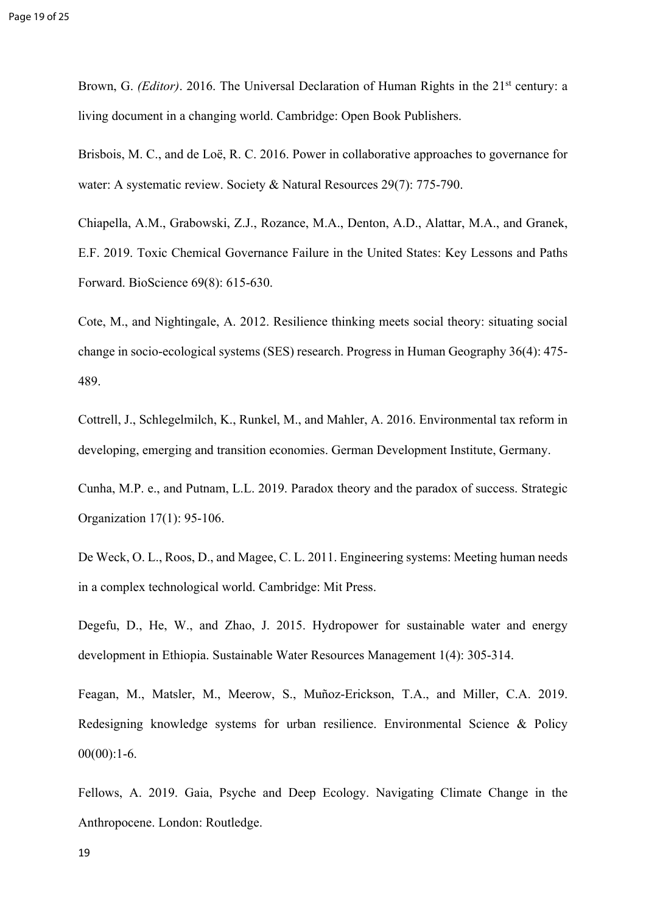Brown, G. *(Editor)*. 2016. The Universal Declaration of Human Rights in the 21<sup>st</sup> century: a living document in a changing world. Cambridge: Open Book Publishers.

Brisbois, M. C., and de Loë, R. C. 2016. Power in collaborative approaches to governance for water: A systematic review. Society & Natural Resources 29(7): 775-790.

Chiapella, A.M., Grabowski, Z.J., Rozance, M.A., Denton, A.D., Alattar, M.A., and Granek, E.F. 2019. Toxic Chemical Governance Failure in the United States: Key Lessons and Paths Forward. BioScience 69(8): 615-630.

Cote, M., and Nightingale, A. 2012. Resilience thinking meets social theory: situating social change in socio-ecological systems (SES) research. Progress in Human Geography 36(4): 475- 489.

Cottrell, J., Schlegelmilch, K., Runkel, M., and Mahler, A. 2016. Environmental tax reform in developing, emerging and transition economies. German Development Institute, Germany.

Cunha, M.P. e., and Putnam, L.L. 2019. Paradox theory and the paradox of success. Strategic Organization 17(1): 95-106.

De Weck, O. L., Roos, D., and Magee, C. L. 2011. Engineering systems: Meeting human needs in a complex technological world. Cambridge: Mit Press.

Degefu, D., He, W., and Zhao, J. 2015. Hydropower for sustainable water and energy development in Ethiopia. Sustainable Water Resources Management 1(4): 305-314.

Feagan, M., Matsler, M., Meerow, S., Muñoz-Erickson, T.A., and Miller, C.A. 2019. Redesigning knowledge systems for urban resilience. Environmental Science & Policy  $00(00):1-6.$ 

Fellows, A. 2019. Gaia, Psyche and Deep Ecology. Navigating Climate Change in the Anthropocene. London: Routledge.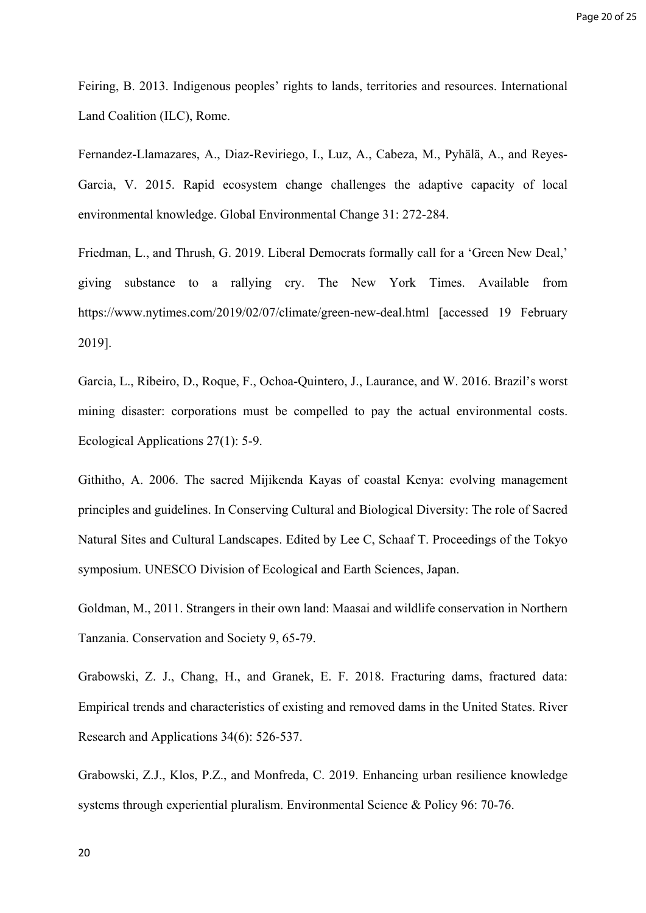Feiring, B. 2013. Indigenous peoples' rights to lands, territories and resources. International Land Coalition (ILC), Rome.

Fernandez-Llamazares, A., Diaz-Reviriego, I., Luz, A., Cabeza, M., Pyhälä, A., and Reyes-Garcia, V. 2015. Rapid ecosystem change challenges the adaptive capacity of local environmental knowledge. Global Environmental Change 31: 272-284.

Friedman, L., and Thrush, G. 2019. Liberal Democrats formally call for a 'Green New Deal,' giving substance to a rallying cry. The New York Times. Available from https://www.nytimes.com/2019/02/07/climate/green-new-deal.html [accessed 19 February 2019].

Garcia, L., Ribeiro, D., Roque, F., Ochoa-Quintero, J., Laurance, and W. 2016. Brazil's worst mining disaster: corporations must be compelled to pay the actual environmental costs. Ecological Applications 27(1): 5-9.

Githitho, A. 2006. The sacred Mijikenda Kayas of coastal Kenya: evolving management principles and guidelines. In Conserving Cultural and Biological Diversity: The role of Sacred Natural Sites and Cultural Landscapes. Edited by Lee C, Schaaf T. Proceedings of the Tokyo symposium. UNESCO Division of Ecological and Earth Sciences, Japan.

Goldman, M., 2011. Strangers in their own land: Maasai and wildlife conservation in Northern Tanzania. Conservation and Society 9, 65-79.

Grabowski, Z. J., Chang, H., and Granek, E. F. 2018. Fracturing dams, fractured data: Empirical trends and characteristics of existing and removed dams in the United States. River Research and Applications 34(6): 526-537.

Grabowski, Z.J., Klos, P.Z., and Monfreda, C. 2019. Enhancing urban resilience knowledge systems through experiential pluralism. Environmental Science & Policy 96: 70-76.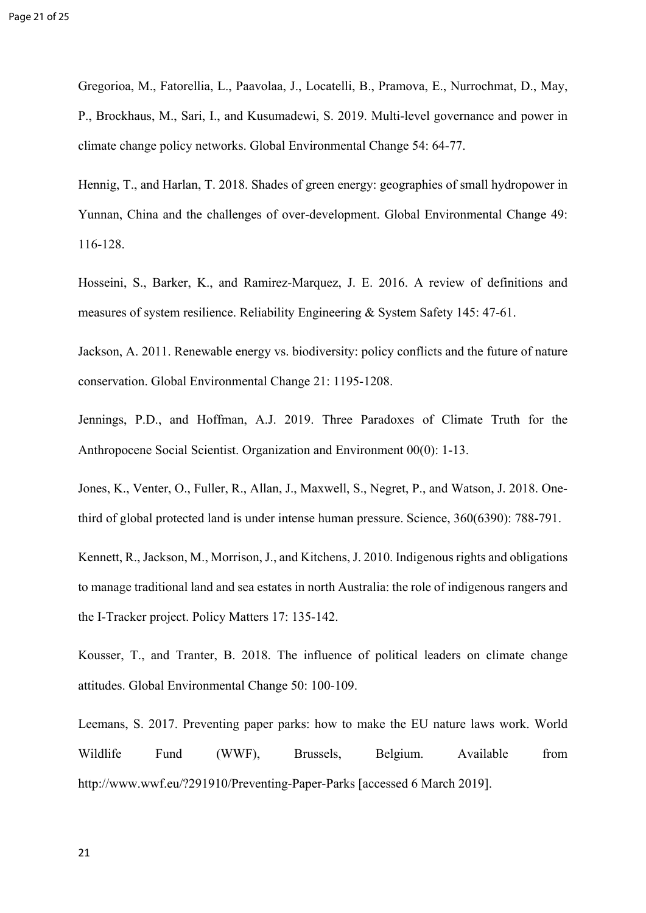Gregorioa, M., Fatorellia, L., Paavolaa, J., Locatelli, B., Pramova, E., Nurrochmat, D., May, P., Brockhaus, M., Sari, I., and Kusumadewi, S. 2019. Multi-level governance and power in climate change policy networks. Global Environmental Change 54: 64-77.

Hennig, T., and Harlan, T. 2018. Shades of green energy: geographies of small hydropower in Yunnan, China and the challenges of over-development. Global Environmental Change 49: 116-128.

Hosseini, S., Barker, K., and Ramirez-Marquez, J. E. 2016. A review of definitions and measures of system resilience. Reliability Engineering & System Safety 145: 47-61.

Jackson, A. 2011. Renewable energy vs. biodiversity: policy conflicts and the future of nature conservation. Global Environmental Change 21: 1195-1208.

Jennings, P.D., and Hoffman, A.J. 2019. Three Paradoxes of Climate Truth for the Anthropocene Social Scientist. Organization and Environment 00(0): 1-13.

Jones, K., Venter, O., Fuller, R., Allan, J., Maxwell, S., Negret, P., and Watson, J. 2018. Onethird of global protected land is under intense human pressure. Science, 360(6390): 788-791.

Kennett, R., Jackson, M., Morrison, J., and Kitchens, J. 2010. Indigenous rights and obligations to manage traditional land and sea estates in north Australia: the role of indigenous rangers and the I-Tracker project. Policy Matters 17: 135-142.

Kousser, T., and Tranter, B. 2018. The influence of political leaders on climate change attitudes. Global Environmental Change 50: 100-109.

Leemans, S. 2017. Preventing paper parks: how to make the EU nature laws work. World Wildlife Fund (WWF), Brussels, Belgium. Available from <http://www.wwf.eu/?291910/Preventing-Paper-Parks> [accessed 6 March 2019].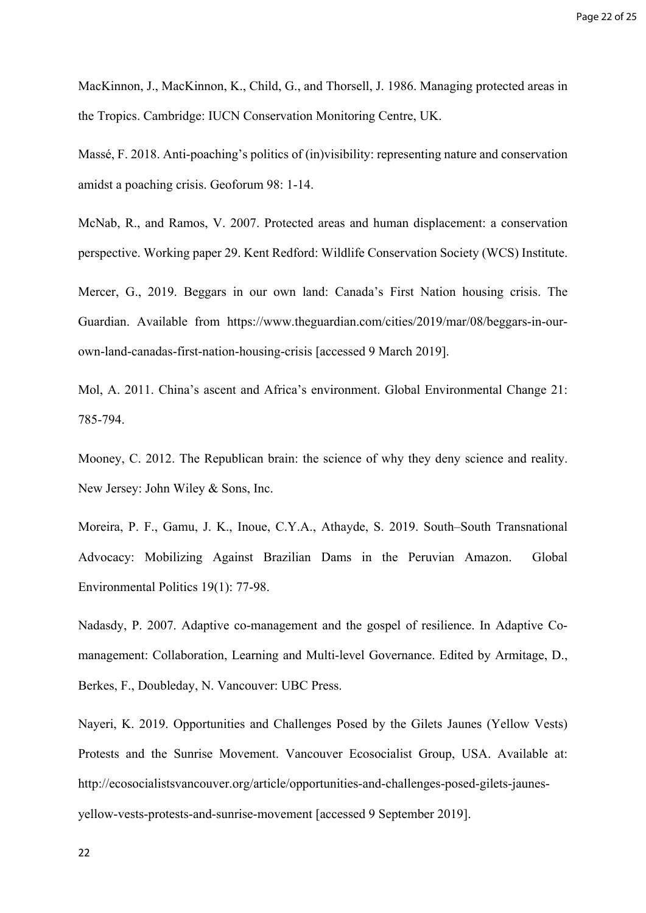MacKinnon, J., MacKinnon, K., Child, G., and Thorsell, J. 1986. Managing protected areas in the Tropics. Cambridge: IUCN Conservation Monitoring Centre, UK.

Massé, F. 2018. Anti-poaching's politics of (in)visibility: representing nature and conservation amidst a poaching crisis. Geoforum 98: 1-14.

McNab, R., and Ramos, V. 2007. Protected areas and human displacement: a conservation perspective. Working paper 29. Kent Redford: Wildlife Conservation Society (WCS) Institute.

Mercer, G., 2019. Beggars in our own land: Canada's First Nation housing crisis. The Guardian. Available from https://www.theguardian.com/cities/2019/mar/08/beggars-in-ourown-land-canadas-first-nation-housing-crisis [accessed 9 March 2019].

Mol, A. 2011. China's ascent and Africa's environment. Global Environmental Change 21: 785-794.

Mooney, C. 2012. The Republican brain: the science of why they deny science and reality. New Jersey: John Wiley & Sons, Inc.

Moreira, P. F., Gamu, J. K., Inoue, C.Y.A., Athayde, S. 2019. South–South Transnational Advocacy: Mobilizing Against Brazilian Dams in the Peruvian Amazon. Global Environmental Politics 19(1): 77-98.

Nadasdy, P. 2007. Adaptive co-management and the gospel of resilience. In Adaptive Comanagement: Collaboration, Learning and Multi-level Governance. Edited by Armitage, D., Berkes, F., Doubleday, N. Vancouver: UBC Press.

Nayeri, K. 2019. Opportunities and Challenges Posed by the Gilets Jaunes (Yellow Vests) Protests and the Sunrise Movement. Vancouver Ecosocialist Group, USA. Available at: http://ecosocialistsvancouver.org/article/opportunities-and-challenges-posed-gilets-jaunesyellow-vests-protests-and-sunrise-movement [accessed 9 September 2019].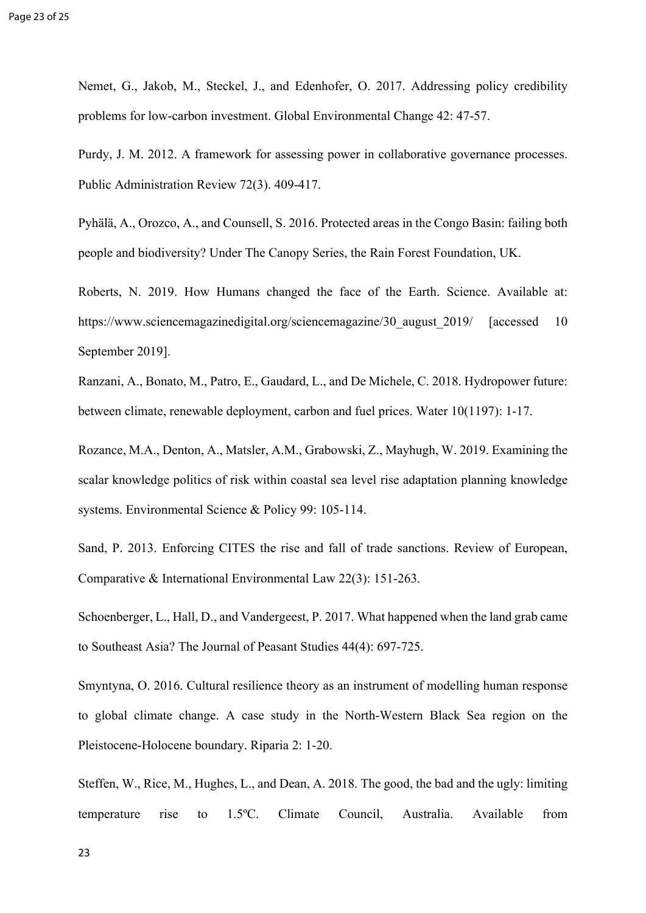Nemet, G., Jakob, M., Steckel, J., and Edenhofer, O. 2017. Addressing policy credibility problems for low-carbon investment. Global Environmental Change 42: 47-57.

Purdy, J. M. 2012. A framework for assessing power in collaborative governance processes. Public Administration Review 72(3). 409-417.

Pyhälä, A., Orozco, A., and Counsell, S. 2016. Protected areas in the Congo Basin: failing both people and biodiversity? Under The Canopy Series, the Rain Forest Foundation, UK.

Roberts, N. 2019. How Humans changed the face of the Earth. Science. Available at: https://www.sciencemagazinedigital.org/sciencemagazine/30 august 2019/ [accessed 10 September 2019].

Ranzani, A., Bonato, M., Patro, E., Gaudard, L., and De Michele, C. 2018. Hydropower future: between climate, renewable deployment, carbon and fuel prices. Water 10(1197): 1-17.

Rozance, M.A., Denton, A., Matsler, A.M., Grabowski, Z., Mayhugh, W. 2019. Examining the scalar knowledge politics of risk within coastal sea level rise adaptation planning knowledge systems. Environmental Science & Policy 99: 105-114.

Sand, P. 2013. Enforcing CITES the rise and fall of trade sanctions. Review of European, Comparative & International Environmental Law 22(3): 151-263.

Schoenberger, L., Hall, D., and Vandergeest, P. 2017. What happened when the land grab came to Southeast Asia? The Journal of Peasant Studies 44(4): 697-725.

Smyntyna, O. 2016. Cultural resilience theory as an instrument of modelling human response to global climate change. A case study in the North-Western Black Sea region on the Pleistocene-Holocene boundary. Riparia 2: 1-20.

Steffen, W., Rice, M., Hughes, L., and Dean, A. 2018. The good, the bad and the ugly: limiting temperature rise to 1.5ºC. Climate Council, Australia. Available from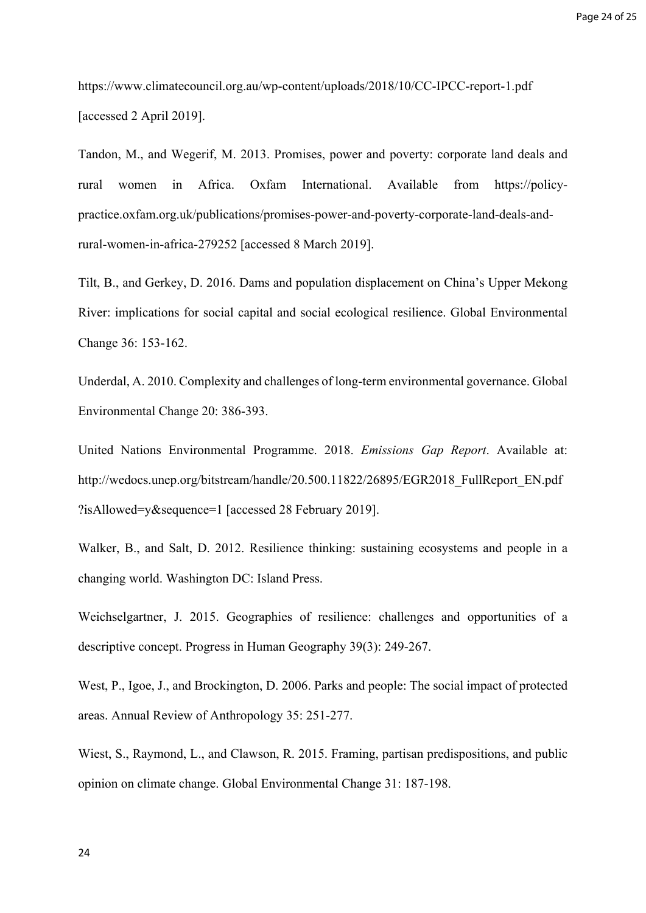<https://www.climatecouncil.org.au/wp-content/uploads/2018/10/CC-IPCC-report-1.pdf> [accessed 2 April 2019].

Tandon, M., and Wegerif, M. 2013. Promises, power and poverty: corporate land deals and rural women in Africa. Oxfam International. Available from https://policypractice.oxfam.org.uk/publications/promises-power-and-poverty-corporate-land-deals-andrural-women-in-africa-279252 [accessed 8 March 2019].

Tilt, B., and Gerkey, D. 2016. Dams and population displacement on China's Upper Mekong River: implications for social capital and social ecological resilience. Global Environmental Change 36: 153-162.

Underdal, A. 2010. Complexity and challenges of long-term environmental governance. Global Environmental Change 20: 386-393.

United Nations Environmental Programme. 2018. *Emissions Gap Report*. Available at: http://wedocs.unep.org/bitstream/handle/20.500.11822/26895/EGR2018\_FullReport\_EN.pdf ?isAllowed=y&sequence=1 [accessed 28 February 2019].

Walker, B., and Salt, D. 2012. Resilience thinking: sustaining ecosystems and people in a changing world. Washington DC: Island Press.

Weichselgartner, J. 2015. Geographies of resilience: challenges and opportunities of a descriptive concept. Progress in Human Geography 39(3): 249-267.

West, P., Igoe, J., and Brockington, D. 2006. Parks and people: The social impact of protected areas. Annual Review of Anthropology 35: 251-277.

Wiest, S., Raymond, L., and Clawson, R. 2015. Framing, partisan predispositions, and public opinion on climate change. Global Environmental Change 31: 187-198.